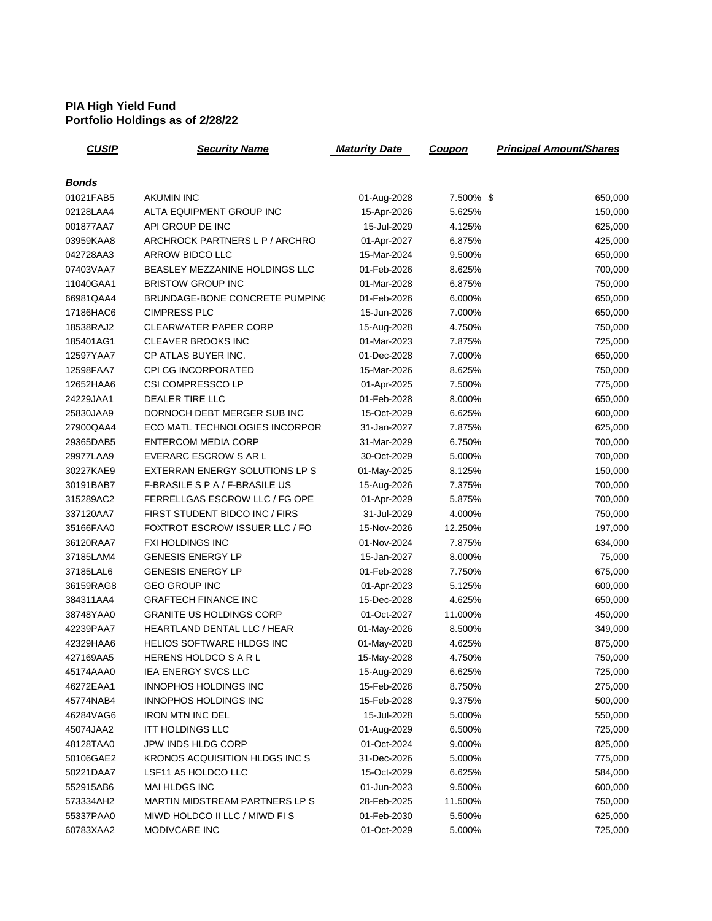## **PIA High Yield Fund Portfolio Holdings as of 2/28/22**

| <b>CUSIP</b> | <b>Security Name</b>                  | <b>Maturity Date</b> | <b>Coupon</b> | <b>Principal Amount/Shares</b> |
|--------------|---------------------------------------|----------------------|---------------|--------------------------------|
|              |                                       |                      |               |                                |
| Bonds        |                                       |                      |               |                                |
| 01021FAB5    | <b>AKUMIN INC</b>                     | 01-Aug-2028          | 7.500% \$     | 650,000                        |
| 02128LAA4    | ALTA EQUIPMENT GROUP INC              | 15-Apr-2026          | 5.625%        | 150,000                        |
| 001877AA7    | API GROUP DE INC                      | 15-Jul-2029          | 4.125%        | 625,000                        |
| 03959KAA8    | ARCHROCK PARTNERS L P / ARCHRO        | 01-Apr-2027          | 6.875%        | 425,000                        |
| 042728AA3    | ARROW BIDCO LLC                       | 15-Mar-2024          | 9.500%        | 650,000                        |
| 07403VAA7    | BEASLEY MEZZANINE HOLDINGS LLC        | 01-Feb-2026          | 8.625%        | 700,000                        |
| 11040GAA1    | <b>BRISTOW GROUP INC</b>              | 01-Mar-2028          | 6.875%        | 750,000                        |
| 66981QAA4    | BRUNDAGE-BONE CONCRETE PUMPINC        | 01-Feb-2026          | 6.000%        | 650,000                        |
| 17186HAC6    | <b>CIMPRESS PLC</b>                   | 15-Jun-2026          | 7.000%        | 650,000                        |
| 18538RAJ2    | <b>CLEARWATER PAPER CORP</b>          | 15-Aug-2028          | 4.750%        | 750,000                        |
| 185401AG1    | <b>CLEAVER BROOKS INC</b>             | 01-Mar-2023          | 7.875%        | 725,000                        |
| 12597YAA7    | CP ATLAS BUYER INC.                   | 01-Dec-2028          | 7.000%        | 650,000                        |
| 12598FAA7    | <b>CPI CG INCORPORATED</b>            | 15-Mar-2026          | 8.625%        | 750,000                        |
| 12652HAA6    | CSI COMPRESSCO LP                     | 01-Apr-2025          | 7.500%        | 775,000                        |
| 24229JAA1    | <b>DEALER TIRE LLC</b>                | 01-Feb-2028          | 8.000%        | 650,000                        |
| 25830JAA9    | DORNOCH DEBT MERGER SUB INC           | 15-Oct-2029          | 6.625%        | 600,000                        |
| 27900QAA4    | ECO MATL TECHNOLOGIES INCORPOR        | 31-Jan-2027          | 7.875%        | 625,000                        |
| 29365DAB5    | <b>ENTERCOM MEDIA CORP</b>            | 31-Mar-2029          | 6.750%        | 700,000                        |
| 29977LAA9    | <b>EVERARC ESCROW S AR L</b>          | 30-Oct-2029          | 5.000%        | 700,000                        |
| 30227KAE9    | EXTERRAN ENERGY SOLUTIONS LP S        | 01-May-2025          | 8.125%        | 150,000                        |
| 30191BAB7    | F-BRASILE S P A / F-BRASILE US        | 15-Aug-2026          | 7.375%        | 700,000                        |
| 315289AC2    | FERRELLGAS ESCROW LLC / FG OPE        | 01-Apr-2029          | 5.875%        | 700,000                        |
| 337120AA7    | FIRST STUDENT BIDCO INC / FIRS        | 31-Jul-2029          | 4.000%        | 750,000                        |
| 35166FAA0    | FOXTROT ESCROW ISSUER LLC / FO        | 15-Nov-2026          | 12.250%       | 197,000                        |
| 36120RAA7    | <b>FXI HOLDINGS INC</b>               | 01-Nov-2024          | 7.875%        | 634,000                        |
| 37185LAM4    | <b>GENESIS ENERGY LP</b>              | 15-Jan-2027          | 8.000%        | 75,000                         |
| 37185LAL6    | <b>GENESIS ENERGY LP</b>              | 01-Feb-2028          | 7.750%        | 675,000                        |
| 36159RAG8    | <b>GEO GROUP INC</b>                  | 01-Apr-2023          | 5.125%        | 600,000                        |
| 384311AA4    | <b>GRAFTECH FINANCE INC</b>           | 15-Dec-2028          | 4.625%        | 650,000                        |
| 38748YAA0    | <b>GRANITE US HOLDINGS CORP</b>       | 01-Oct-2027          | 11.000%       | 450,000                        |
| 42239PAA7    | HEARTLAND DENTAL LLC / HEAR           | 01-May-2026          | 8.500%        | 349,000                        |
| 42329HAA6    | HELIOS SOFTWARE HLDGS INC             | 01-May-2028          | 4.625%        | 875,000                        |
| 427169AA5    | HERENS HOLDCO S A R L                 | 15-May-2028          | 4.750%        | 750,000                        |
| 45174AAA0    | <b>IEA ENERGY SVCS LLC</b>            | 15-Aug-2029          | 6.625%        | 725,000                        |
| 46272EAA1    | INNOPHOS HOLDINGS INC                 | 15-Feb-2026          | 8.750%        | 275,000                        |
| 45774NAB4    | INNOPHOS HOLDINGS INC                 | 15-Feb-2028          | 9.375%        | 500,000                        |
| 46284VAG6    | <b>IRON MTN INC DEL</b>               | 15-Jul-2028          | 5.000%        | 550,000                        |
| 45074JAA2    | <b>ITT HOLDINGS LLC</b>               | 01-Aug-2029          | 6.500%        | 725,000                        |
| 48128TAA0    | JPW INDS HLDG CORP                    | 01-Oct-2024          | 9.000%        | 825,000                        |
| 50106GAE2    | KRONOS ACQUISITION HLDGS INC S        | 31-Dec-2026          | 5.000%        | 775,000                        |
| 50221DAA7    | LSF11 A5 HOLDCO LLC                   | 15-Oct-2029          | 6.625%        | 584,000                        |
| 552915AB6    | MAI HLDGS INC                         | 01-Jun-2023          | 9.500%        | 600,000                        |
| 573334AH2    | <b>MARTIN MIDSTREAM PARTNERS LP S</b> | 28-Feb-2025          | 11.500%       | 750,000                        |
| 55337PAA0    | MIWD HOLDCO II LLC / MIWD FI S        | 01-Feb-2030          | 5.500%        | 625,000                        |
| 60783XAA2    | MODIVCARE INC                         | 01-Oct-2029          | 5.000%        | 725,000                        |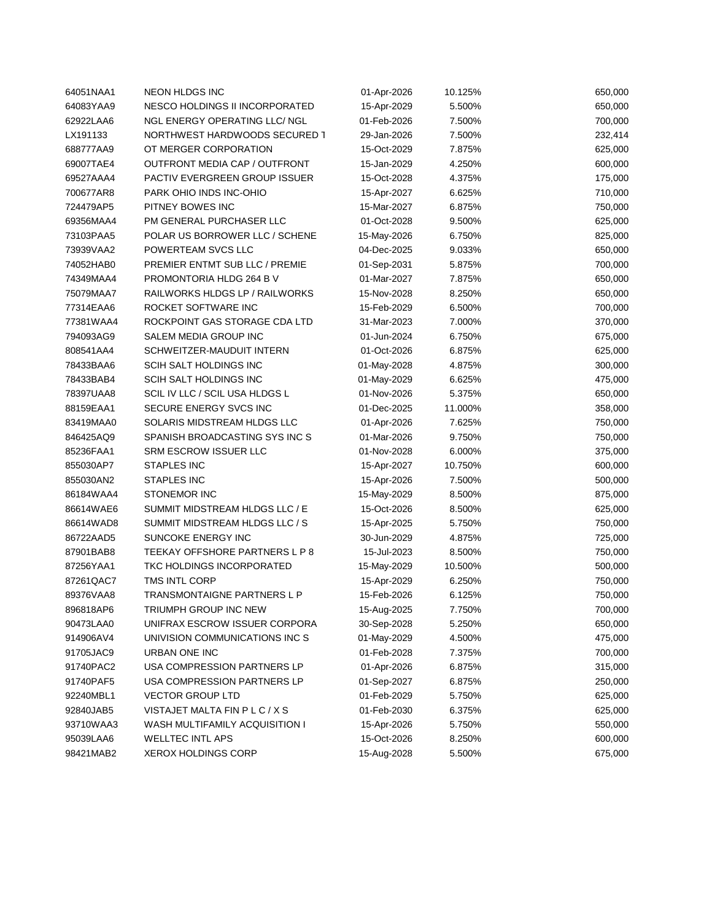| 64051NAA1 | <b>NEON HLDGS INC</b>          | 01-Apr-2026 | 10.125% | 650,000 |
|-----------|--------------------------------|-------------|---------|---------|
| 64083YAA9 | NESCO HOLDINGS II INCORPORATED | 15-Apr-2029 | 5.500%  | 650,000 |
| 62922LAA6 | NGL ENERGY OPERATING LLC/ NGL  | 01-Feb-2026 | 7.500%  | 700,000 |
| LX191133  | NORTHWEST HARDWOODS SECURED 1  | 29-Jan-2026 | 7.500%  | 232,414 |
| 688777AA9 | OT MERGER CORPORATION          | 15-Oct-2029 | 7.875%  | 625,000 |
| 69007TAE4 | OUTFRONT MEDIA CAP / OUTFRONT  | 15-Jan-2029 | 4.250%  | 600,000 |
| 69527AAA4 | PACTIV EVERGREEN GROUP ISSUER  | 15-Oct-2028 | 4.375%  | 175,000 |
| 700677AR8 | PARK OHIO INDS INC-OHIO        | 15-Apr-2027 | 6.625%  | 710,000 |
| 724479AP5 | PITNEY BOWES INC               | 15-Mar-2027 | 6.875%  | 750,000 |
| 69356MAA4 | PM GENERAL PURCHASER LLC       | 01-Oct-2028 | 9.500%  | 625,000 |
| 73103PAA5 | POLAR US BORROWER LLC / SCHENE | 15-May-2026 | 6.750%  | 825,000 |
| 73939VAA2 | POWERTEAM SVCS LLC             | 04-Dec-2025 | 9.033%  | 650,000 |
| 74052HAB0 | PREMIER ENTMT SUB LLC / PREMIE | 01-Sep-2031 | 5.875%  | 700,000 |
| 74349MAA4 | PROMONTORIA HLDG 264 B V       | 01-Mar-2027 | 7.875%  | 650,000 |
| 75079MAA7 | RAILWORKS HLDGS LP / RAILWORKS | 15-Nov-2028 | 8.250%  | 650,000 |
| 77314EAA6 | ROCKET SOFTWARE INC            | 15-Feb-2029 | 6.500%  | 700,000 |
| 77381WAA4 | ROCKPOINT GAS STORAGE CDA LTD  | 31-Mar-2023 | 7.000%  | 370,000 |
| 794093AG9 | SALEM MEDIA GROUP INC          | 01-Jun-2024 | 6.750%  | 675,000 |
| 808541AA4 | SCHWEITZER-MAUDUIT INTERN      | 01-Oct-2026 | 6.875%  | 625,000 |
| 78433BAA6 | SCIH SALT HOLDINGS INC         | 01-May-2028 | 4.875%  | 300,000 |
| 78433BAB4 | SCIH SALT HOLDINGS INC         | 01-May-2029 | 6.625%  | 475,000 |
| 78397UAA8 | SCIL IV LLC / SCIL USA HLDGS L | 01-Nov-2026 | 5.375%  | 650,000 |
| 88159EAA1 | SECURE ENERGY SVCS INC         | 01-Dec-2025 | 11.000% | 358,000 |
| 83419MAA0 | SOLARIS MIDSTREAM HLDGS LLC    | 01-Apr-2026 | 7.625%  | 750,000 |
| 846425AQ9 | SPANISH BROADCASTING SYS INC S | 01-Mar-2026 | 9.750%  | 750,000 |
| 85236FAA1 | SRM ESCROW ISSUER LLC          | 01-Nov-2028 | 6.000%  | 375,000 |
| 855030AP7 | <b>STAPLES INC</b>             | 15-Apr-2027 | 10.750% | 600,000 |
| 855030AN2 | <b>STAPLES INC</b>             | 15-Apr-2026 | 7.500%  | 500,000 |
| 86184WAA4 | <b>STONEMOR INC</b>            | 15-May-2029 | 8.500%  | 875,000 |
| 86614WAE6 | SUMMIT MIDSTREAM HLDGS LLC / E | 15-Oct-2026 | 8.500%  | 625,000 |
| 86614WAD8 | SUMMIT MIDSTREAM HLDGS LLC / S | 15-Apr-2025 | 5.750%  | 750,000 |
| 86722AAD5 | SUNCOKE ENERGY INC             | 30-Jun-2029 | 4.875%  | 725,000 |
| 87901BAB8 | TEEKAY OFFSHORE PARTNERS L P 8 | 15-Jul-2023 | 8.500%  | 750,000 |
| 87256YAA1 | TKC HOLDINGS INCORPORATED      | 15-May-2029 | 10.500% | 500,000 |
| 87261QAC7 | TMS INTL CORP                  | 15-Apr-2029 | 6.250%  | 750,000 |
| 89376VAA8 | TRANSMONTAIGNE PARTNERS L P    | 15-Feb-2026 | 6.125%  | 750,000 |
| 896818AP6 | TRIUMPH GROUP INC NEW          | 15-Aug-2025 | 7.750%  | 700,000 |
| 90473LAA0 | UNIFRAX ESCROW ISSUER CORPORA  | 30-Sep-2028 | 5.250%  | 650,000 |
| 914906AV4 | UNIVISION COMMUNICATIONS INC S | 01-May-2029 | 4.500%  | 475,000 |
| 91705JAC9 | URBAN ONE INC                  | 01-Feb-2028 | 7.375%  | 700,000 |
| 91740PAC2 | USA COMPRESSION PARTNERS LP    | 01-Apr-2026 | 6.875%  | 315,000 |
| 91740PAF5 | USA COMPRESSION PARTNERS LP    | 01-Sep-2027 | 6.875%  | 250,000 |
| 92240MBL1 | <b>VECTOR GROUP LTD</b>        | 01-Feb-2029 | 5.750%  | 625,000 |
| 92840JAB5 | VISTAJET MALTA FIN P L C / X S | 01-Feb-2030 | 6.375%  | 625,000 |
| 93710WAA3 | WASH MULTIFAMILY ACQUISITION I | 15-Apr-2026 | 5.750%  | 550,000 |
| 95039LAA6 | <b>WELLTEC INTL APS</b>        | 15-Oct-2026 | 8.250%  | 600,000 |
| 98421MAB2 | <b>XEROX HOLDINGS CORP</b>     | 15-Aug-2028 | 5.500%  | 675,000 |
|           |                                |             |         |         |